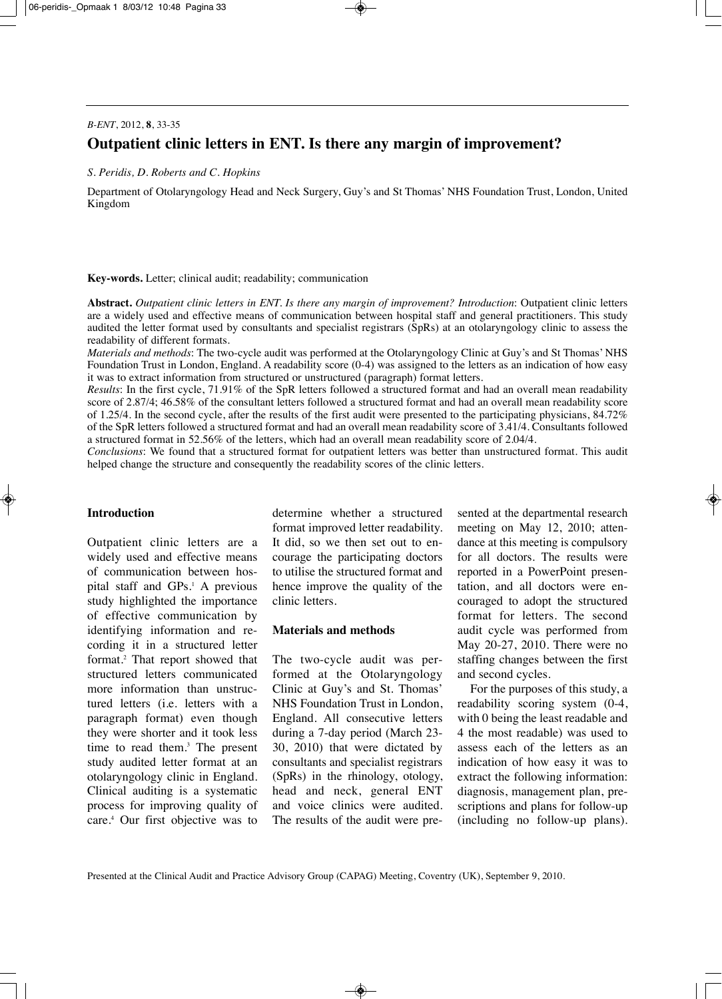# *B-ENT*, 2012, **8**, 33-35 **Outpatient clinic letters in ENT. Is there any margin of improvement?**

#### *S. Peridis, D. Roberts and C. Hopkins*

Department of Otolaryngology Head and Neck Surgery, Guy's and St Thomas' NHS Foundation Trust, London, United Kingdom

**Key-words.** Letter; clinical audit; readability; communication

**Abstract.** *Outpatient clinic letters in ENT. Is there any margin of improvement? Introduction*: Outpatient clinic letters are a widely used and effective means of communication between hospital staff and general practitioners. This study audited the letter format used by consultants and specialist registrars (SpRs) at an otolaryngology clinic to assess the readability of different formats.

*Materials and methods*: The two-cycle audit was performed at the Otolaryngology Clinic at Guy's and St Thomas' NHS Foundation Trust in London, England. A readability score (0-4) was assigned to the letters as an indication of how easy it was to extract information from structured or unstructured (paragraph) format letters.

*Results*: In the first cycle, 71.91% of the SpR letters followed a structured format and had an overall mean readability score of 2.87/4; 46.58% of the consultant letters followed a structured format and had an overall mean readability score of 1.25/4. In the second cycle, after the results of the first audit were presented to the participating physicians, 84.72% of the SpR letters followed a structured format and had an overall mean readability score of 3.41/4. Consultants followed a structured format in 52.56% of the letters, which had an overall mean readability score of 2.04/4.

*Conclusions*: We found that a structured format for outpatient letters was better than unstructured format. This audit helped change the structure and consequently the readability scores of the clinic letters.

# **Introduction**

Outpatient clinic letters are a widely used and effective means of communication between hospital staff and GPs.1 A previous study highlighted the importance of effective communication by identifying information and recording it in a structured letter format.<sup>2</sup> That report showed that structured letters communicated more information than unstructured letters (i.e. letters with a paragraph format) even though they were shorter and it took less time to read them.<sup>3</sup> The present study audited letter format at an otolaryngology clinic in England. Clinical auditing is a systematic process for improving quality of care.4 Our first objective was to

determine whether a structured format improved letter readability. It did, so we then set out to encourage the participating doctors to utilise the structured format and hence improve the quality of the clinic letters.

#### **Materials and methods**

The two-cycle audit was performed at the Otolaryngology Clinic at Guy's and St. Thomas' NHS Foundation Trust in London, England. All consecutive letters during a 7-day period (March 23- 30, 2010) that were dictated by consultants and specialist registrars (SpRs) in the rhinology, otology, head and neck, general ENT and voice clinics were audited. The results of the audit were presented at the departmental research meeting on May 12, 2010; attendance at this meeting is compulsory for all doctors. The results were reported in a PowerPoint presentation, and all doctors were encouraged to adopt the structured format for letters. The second audit cycle was performed from May 20-27, 2010. There were no staffing changes between the first and second cycles.

For the purposes of this study, a readability scoring system (0-4, with 0 being the least readable and 4 the most readable) was used to assess each of the letters as an indication of how easy it was to extract the following information: diagnosis, management plan, prescriptions and plans for follow-up (including no follow-up plans).

Presented at the Clinical Audit and Practice Advisory Group (CAPAG) Meeting, Coventry (UK), September 9, 2010.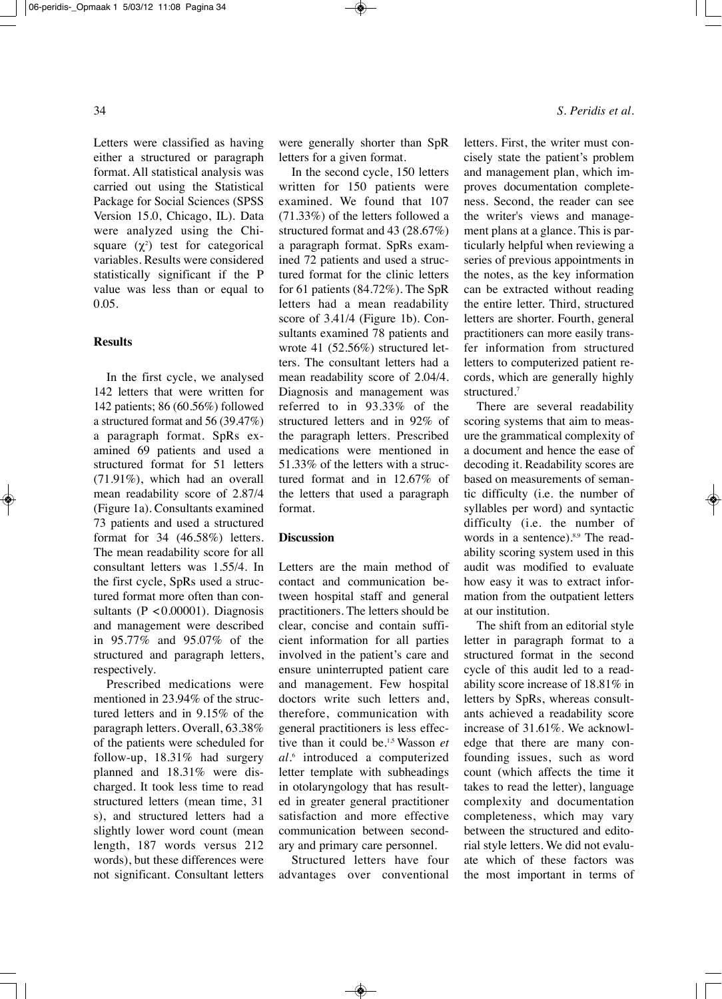Letters were classified as having either a structured or paragraph format. All statistical analysis was carried out using the Statistical Package for Social Sciences (SPSS Version 15.0, Chicago, IL). Data were analyzed using the Chisquare  $(\chi^2)$  test for categorical variables. Results were considered statistically significant if the P value was less than or equal to 0.05.

#### **Results**

In the first cycle, we analysed 142 letters that were written for 142 patients; 86 (60.56%) followed a structured format and 56 (39.47%) a paragraph format. SpRs examined 69 patients and used a structured format for 51 letters (71.91%), which had an overall mean readability score of 2.87/4 (Figure 1a). Consultants examined 73 patients and used a structured format for 34 (46.58%) letters. The mean readability score for all consultant letters was 1.55/4. In the first cycle, SpRs used a structured format more often than consultants  $(P < 0.00001)$ . Diagnosis and management were described in 95.77% and 95.07% of the structured and paragraph letters, respectively.

Prescribed medications were mentioned in 23.94% of the structured letters and in 9.15% of the paragraph letters. Overall, 63.38% of the patients were scheduled for follow-up, 18.31% had surgery planned and 18.31% were discharged. It took less time to read structured letters (mean time, 31 s), and structured letters had a slightly lower word count (mean length, 187 words versus 212 words), but these differences were not significant. Consultant letters

were generally shorter than SpR letters for a given format.

In the second cycle, 150 letters written for 150 patients were examined. We found that 107 (71.33%) of the letters followed a structured format and 43 (28.67%) a paragraph format. SpRs examined 72 patients and used a structured format for the clinic letters for 61 patients (84.72%). The SpR letters had a mean readability score of 3.41/4 (Figure 1b). Consultants examined 78 patients and wrote 41 (52.56%) structured letters. The consultant letters had a mean readability score of 2.04/4. Diagnosis and management was referred to in 93.33% of the structured letters and in 92% of the paragraph letters. Prescribed medications were mentioned in 51.33% of the letters with a structured format and in 12.67% of the letters that used a paragraph format.

## **Discussion**

Letters are the main method of contact and communication between hospital staff and general practitioners. The letters should be clear, concise and contain sufficient information for all parties involved in the patient's care and ensure uninterrupted patient care and management. Few hospital doctors write such letters and, therefore, communication with general practitioners is less effective than it could be. 1,5 Wasson *et al*. <sup>6</sup> introduced a computerized letter template with subheadings in otolaryngology that has resulted in greater general practitioner satisfaction and more effective communication between secondary and primary care personnel.

Structured letters have four advantages over conventional letters. First, the writer must concisely state the patient's problem and management plan, which improves documentation completeness. Second, the reader can see the writer's views and management plans at a glance. This is particularly helpful when reviewing a series of previous appointments in the notes, as the key information can be extracted without reading the entire letter. Third, structured letters are shorter. Fourth, general practitioners can more easily transfer information from structured letters to computerized patient records, which are generally highly structured. 7

There are several readability scoring systems that aim to measure the grammatical complexity of a document and hence the ease of decoding it. Readability scores are based on measurements of semantic difficulty (i.e. the number of syllables per word) and syntactic difficulty (i.e. the number of words in a sentence).<sup>8,9</sup> The readability scoring system used in this audit was modified to evaluate how easy it was to extract information from the outpatient letters at our institution.

The shift from an editorial style letter in paragraph format to a structured format in the second cycle of this audit led to a readability score increase of 18.81% in letters by SpRs, whereas consultants achieved a readability score increase of 31.61%. We acknowledge that there are many confounding issues, such as word count (which affects the time it takes to read the letter), language complexity and documentation completeness, which may vary between the structured and editorial style letters. We did not evaluate which of these factors was the most important in terms of